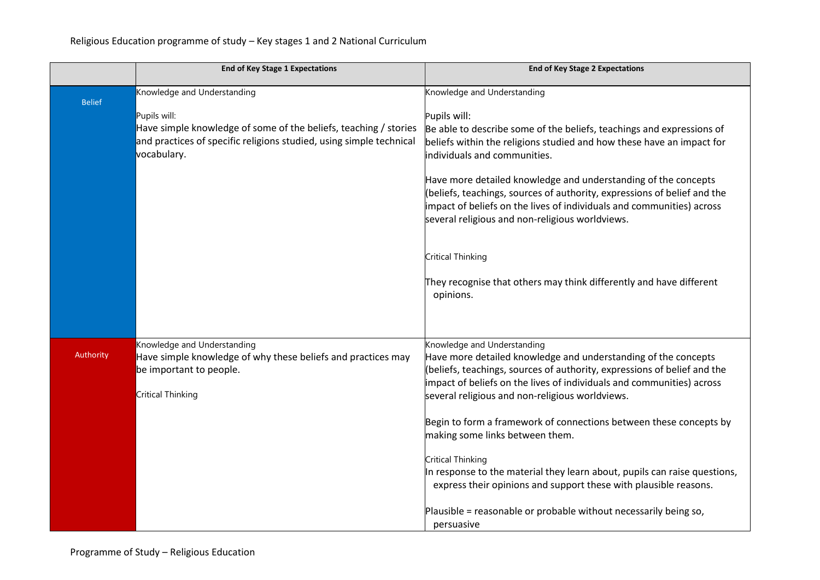|               | <b>End of Key Stage 1 Expectations</b>                                                                                                                                 | <b>End of Key Stage 2 Expectations</b>                                                                                                                                                                                                                                                                                                                                                                                                                                                                                                                                                                                                                   |
|---------------|------------------------------------------------------------------------------------------------------------------------------------------------------------------------|----------------------------------------------------------------------------------------------------------------------------------------------------------------------------------------------------------------------------------------------------------------------------------------------------------------------------------------------------------------------------------------------------------------------------------------------------------------------------------------------------------------------------------------------------------------------------------------------------------------------------------------------------------|
| <b>Belief</b> | Knowledge and Understanding                                                                                                                                            | Knowledge and Understanding                                                                                                                                                                                                                                                                                                                                                                                                                                                                                                                                                                                                                              |
|               | Pupils will:<br>Have simple knowledge of some of the beliefs, teaching / stories<br>and practices of specific religions studied, using simple technical<br>vocabulary. | Pupils will:<br>Be able to describe some of the beliefs, teachings and expressions of<br>beliefs within the religions studied and how these have an impact for<br>individuals and communities.<br>Have more detailed knowledge and understanding of the concepts<br>(beliefs, teachings, sources of authority, expressions of belief and the<br>impact of beliefs on the lives of individuals and communities) across<br>several religious and non-religious worldviews.<br><b>Critical Thinking</b><br>They recognise that others may think differently and have different<br>opinions.                                                                 |
| Authority     | Knowledge and Understanding<br>Have simple knowledge of why these beliefs and practices may<br>be important to people.<br>Critical Thinking                            | Knowledge and Understanding<br>Have more detailed knowledge and understanding of the concepts<br>(beliefs, teachings, sources of authority, expressions of belief and the<br>impact of beliefs on the lives of individuals and communities) across<br>several religious and non-religious worldviews.<br>Begin to form a framework of connections between these concepts by<br>making some links between them.<br>Critical Thinking<br>In response to the material they learn about, pupils can raise questions,<br>express their opinions and support these with plausible reasons.<br>Plausible = reasonable or probable without necessarily being so, |
|               |                                                                                                                                                                        | persuasive                                                                                                                                                                                                                                                                                                                                                                                                                                                                                                                                                                                                                                               |